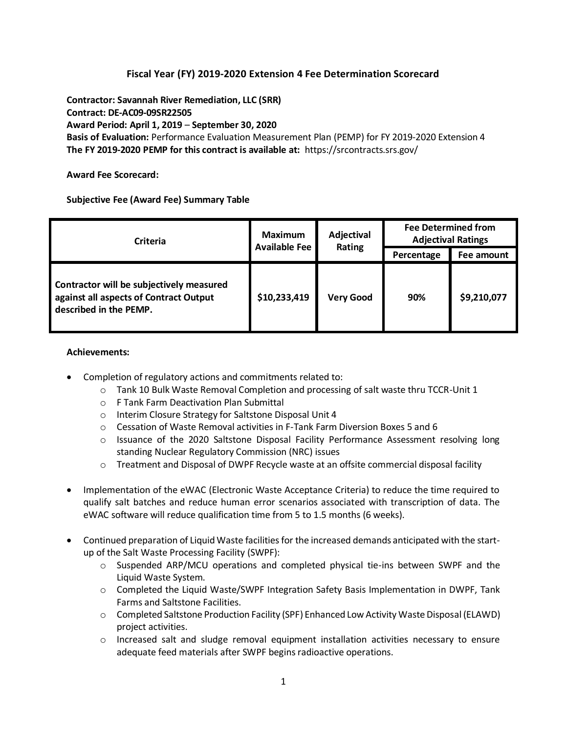## **Fiscal Year (FY) 2019-2020 Extension 4 Fee Determination Scorecard**

**Contractor: Savannah River Remediation, LLC (SRR) Contract: DE-AC09-09SR22505 Award Period: April 1, 2019** – **September 30, 2020 Basis of Evaluation:** Performance Evaluation Measurement Plan (PEMP) for FY 2019-2020 Extension 4 **The FY 2019-2020 PEMP for this contract is available at:** <https://srcontracts.srs.gov/>

**Award Fee Scorecard:**

**Subjective Fee (Award Fee) Summary Table**

| <b>Criteria</b>                                                                                              | <b>Maximum</b><br><b>Available Fee</b> | Adjectival<br>Rating | <b>Fee Determined from</b><br><b>Adjectival Ratings</b> |             |
|--------------------------------------------------------------------------------------------------------------|----------------------------------------|----------------------|---------------------------------------------------------|-------------|
|                                                                                                              |                                        |                      | Percentage                                              | Fee amount  |
| Contractor will be subjectively measured<br>against all aspects of Contract Output<br>described in the PEMP. | \$10,233,419                           | <b>Very Good</b>     | 90%                                                     | \$9,210,077 |

## **Achievements:**

- Completion of regulatory actions and commitments related to:
	- $\circ$  Tank 10 Bulk Waste Removal Completion and processing of salt waste thru TCCR-Unit 1
	- o F Tank Farm Deactivation Plan Submittal
	- o Interim Closure Strategy for Saltstone Disposal Unit 4
	- $\circ$  Cessation of Waste Removal activities in F-Tank Farm Diversion Boxes 5 and 6
	- o Issuance of the 2020 Saltstone Disposal Facility Performance Assessment resolving long standing Nuclear Regulatory Commission (NRC) issues
	- $\circ$  Treatment and Disposal of DWPF Recycle waste at an offsite commercial disposal facility
- Implementation of the eWAC (Electronic Waste Acceptance Criteria) to reduce the time required to qualify salt batches and reduce human error scenarios associated with transcription of data. The eWAC software will reduce qualification time from 5 to 1.5 months (6 weeks).
- Continued preparation of Liquid Waste facilities for the increased demands anticipated with the startup of the Salt Waste Processing Facility (SWPF):
	- $\circ$  Suspended ARP/MCU operations and completed physical tie-ins between SWPF and the Liquid Waste System.
	- $\circ$  Completed the Liquid Waste/SWPF Integration Safety Basis Implementation in DWPF, Tank Farms and Saltstone Facilities.
	- o Completed Saltstone Production Facility (SPF) Enhanced Low Activity Waste Disposal (ELAWD) project activities.
	- $\circ$  Increased salt and sludge removal equipment installation activities necessary to ensure adequate feed materials after SWPF begins radioactive operations.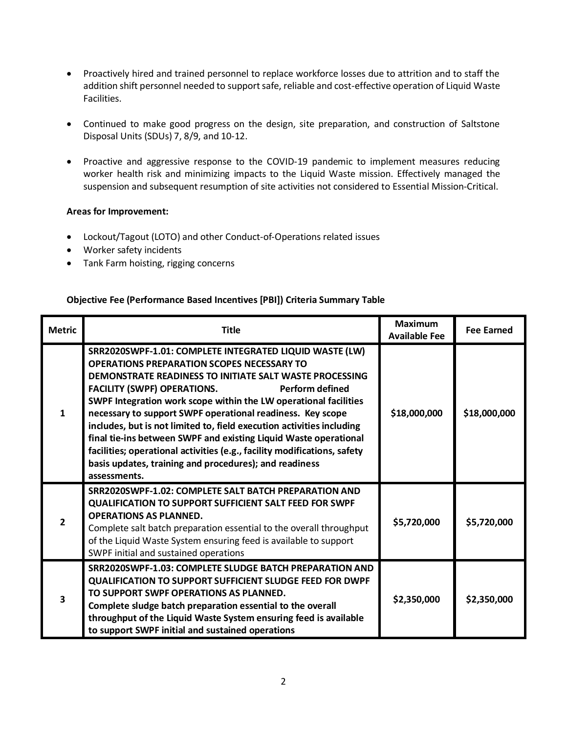- Proactively hired and trained personnel to replace workforce losses due to attrition and to staff the addition shift personnel needed to support safe, reliable and cost-effective operation of Liquid Waste Facilities.
- Continued to make good progress on the design, site preparation, and construction of Saltstone Disposal Units (SDUs) 7, 8/9, and 10-12.
- Proactive and aggressive response to the COVID-19 pandemic to implement measures reducing worker health risk and minimizing impacts to the Liquid Waste mission. Effectively managed the suspension and subsequent resumption of site activities not considered to Essential Mission-Critical.

## **Areas for Improvement:**

- Lockout/Tagout (LOTO) and other Conduct-of-Operations related issues
- Worker safety incidents
- Tank Farm hoisting, rigging concerns

## **Objective Fee (Performance Based Incentives [PBI]) Criteria Summary Table**

| <b>Metric</b> | <b>Title</b>                                                                                                                                                                                                                                                                                                                                                                                                                                                                                                                                                                                                                                                                 | <b>Maximum</b><br><b>Available Fee</b> | <b>Fee Earned</b> |
|---------------|------------------------------------------------------------------------------------------------------------------------------------------------------------------------------------------------------------------------------------------------------------------------------------------------------------------------------------------------------------------------------------------------------------------------------------------------------------------------------------------------------------------------------------------------------------------------------------------------------------------------------------------------------------------------------|----------------------------------------|-------------------|
| $\mathbf{1}$  | SRR2020SWPF-1.01: COMPLETE INTEGRATED LIQUID WASTE (LW)<br><b>OPERATIONS PREPARATION SCOPES NECESSARY TO</b><br>DEMONSTRATE READINESS TO INITIATE SALT WASTE PROCESSING<br><b>FACILITY (SWPF) OPERATIONS.</b><br><b>Perform defined</b><br>SWPF Integration work scope within the LW operational facilities<br>necessary to support SWPF operational readiness. Key scope<br>includes, but is not limited to, field execution activities including<br>final tie-ins between SWPF and existing Liquid Waste operational<br>facilities; operational activities (e.g., facility modifications, safety<br>basis updates, training and procedures); and readiness<br>assessments. | \$18,000,000                           | \$18,000,000      |
| $\mathbf{z}$  | <b>SRR2020SWPF-1.02: COMPLETE SALT BATCH PREPARATION AND</b><br><b>QUALIFICATION TO SUPPORT SUFFICIENT SALT FEED FOR SWPF</b><br><b>OPERATIONS AS PLANNED.</b><br>Complete salt batch preparation essential to the overall throughput<br>of the Liquid Waste System ensuring feed is available to support<br>SWPF initial and sustained operations                                                                                                                                                                                                                                                                                                                           | \$5,720,000                            | \$5,720,000       |
| 3             | SRR2020SWPF-1.03: COMPLETE SLUDGE BATCH PREPARATION AND<br><b>QUALIFICATION TO SUPPORT SUFFICIENT SLUDGE FEED FOR DWPF</b><br>TO SUPPORT SWPF OPERATIONS AS PLANNED.<br>Complete sludge batch preparation essential to the overall<br>throughput of the Liquid Waste System ensuring feed is available<br>to support SWPF initial and sustained operations                                                                                                                                                                                                                                                                                                                   | \$2,350,000                            | \$2,350,000       |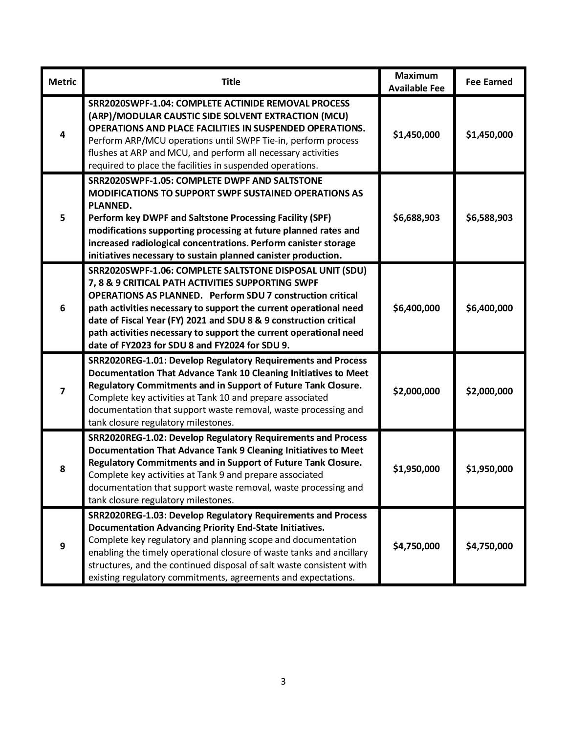| <b>Metric</b> | <b>Title</b>                                                                                                                                                                                                                                                                                                                                                                                                                                        | <b>Maximum</b><br><b>Available Fee</b> | <b>Fee Earned</b> |
|---------------|-----------------------------------------------------------------------------------------------------------------------------------------------------------------------------------------------------------------------------------------------------------------------------------------------------------------------------------------------------------------------------------------------------------------------------------------------------|----------------------------------------|-------------------|
| 4             | SRR2020SWPF-1.04: COMPLETE ACTINIDE REMOVAL PROCESS<br>(ARP)/MODULAR CAUSTIC SIDE SOLVENT EXTRACTION (MCU)<br>OPERATIONS AND PLACE FACILITIES IN SUSPENDED OPERATIONS.<br>Perform ARP/MCU operations until SWPF Tie-in, perform process<br>flushes at ARP and MCU, and perform all necessary activities<br>required to place the facilities in suspended operations.                                                                                | \$1,450,000                            | \$1,450,000       |
| 5             | SRR2020SWPF-1.05: COMPLETE DWPF AND SALTSTONE<br><b>MODIFICATIONS TO SUPPORT SWPF SUSTAINED OPERATIONS AS</b><br><b>PLANNED.</b><br>Perform key DWPF and Saltstone Processing Facility (SPF)<br>modifications supporting processing at future planned rates and<br>increased radiological concentrations. Perform canister storage<br>initiatives necessary to sustain planned canister production.                                                 | \$6,688,903                            | \$6,588,903       |
| 6             | SRR2020SWPF-1.06: COMPLETE SALTSTONE DISPOSAL UNIT (SDU)<br>7, 8 & 9 CRITICAL PATH ACTIVITIES SUPPORTING SWPF<br><b>OPERATIONS AS PLANNED. Perform SDU 7 construction critical</b><br>path activities necessary to support the current operational need<br>date of Fiscal Year (FY) 2021 and SDU 8 & 9 construction critical<br>path activities necessary to support the current operational need<br>date of FY2023 for SDU 8 and FY2024 for SDU 9. | \$6,400,000                            | \$6,400,000       |
| 7             | SRR2020REG-1.01: Develop Regulatory Requirements and Process<br>Documentation That Advance Tank 10 Cleaning Initiatives to Meet<br>Regulatory Commitments and in Support of Future Tank Closure.<br>Complete key activities at Tank 10 and prepare associated<br>documentation that support waste removal, waste processing and<br>tank closure regulatory milestones.                                                                              | \$2,000,000                            | \$2,000,000       |
| 8             | SRR2020REG-1.02: Develop Regulatory Requirements and Process<br>Documentation That Advance Tank 9 Cleaning Initiatives to Meet<br>Regulatory Commitments and in Support of Future Tank Closure.<br>Complete key activities at Tank 9 and prepare associated<br>documentation that support waste removal, waste processing and<br>tank closure regulatory milestones.                                                                                | \$1,950,000                            | \$1,950,000       |
| 9             | SRR2020REG-1.03: Develop Regulatory Requirements and Process<br><b>Documentation Advancing Priority End-State Initiatives.</b><br>Complete key regulatory and planning scope and documentation<br>enabling the timely operational closure of waste tanks and ancillary<br>structures, and the continued disposal of salt waste consistent with<br>existing regulatory commitments, agreements and expectations.                                     | \$4,750,000                            | \$4,750,000       |